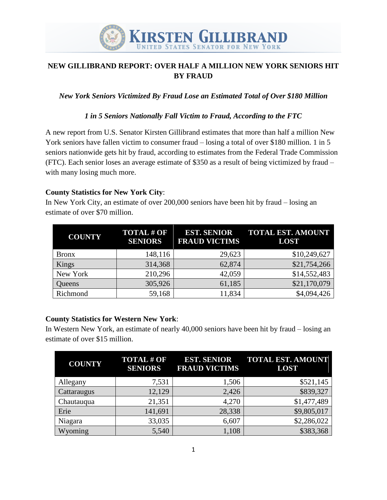

# **NEW GILLIBRAND REPORT: OVER HALF A MILLION NEW YORK SENIORS HIT BY FRAUD**

*New York Seniors Victimized By Fraud Lose an Estimated Total of Over \$180 Million*

### *1 in 5 Seniors Nationally Fall Victim to Fraud, According to the FTC*

A new report from U.S. Senator Kirsten Gillibrand estimates that more than half a million New York seniors have fallen victim to consumer fraud – losing a total of over \$180 million. 1 in 5 seniors nationwide gets hit by fraud, according to estimates from the Federal Trade Commission (FTC). Each senior loses an average estimate of \$350 as a result of being victimized by fraud – with many losing much more.

### **County Statistics for New York City**:

In New York City, an estimate of over 200,000 seniors have been hit by fraud – losing an estimate of over \$70 million.

| <b>COUNTY</b> | <b>TOTAL # OF</b><br><b>SENIORS</b> | <b>EST. SENIOR</b><br><b>FRAUD VICTIMS</b> | <b>TOTAL EST. AMOUNT</b><br><b>LOST</b> |
|---------------|-------------------------------------|--------------------------------------------|-----------------------------------------|
| <b>Bronx</b>  | 148,116                             | 29,623                                     | \$10,249,627                            |
| Kings         | 314,368                             | 62,874                                     | \$21,754,266                            |
| New York      | 210,296                             | 42,059                                     | \$14,552,483                            |
| Queens        | 305,926                             | 61,185                                     | \$21,170,079                            |
| Richmond      | 59,168                              | 11,834                                     | \$4,094,426                             |

## **County Statistics for Western New York**:

In Western New York, an estimate of nearly 40,000 seniors have been hit by fraud – losing an estimate of over \$15 million.

| <b>COUNTY</b> | <b>TOTAL#OF</b><br><b>SENIORS</b> | <b>EST. SENIOR</b><br><b>FRAUD VICTIMS</b> | <b>TOTAL EST. AMOUNT</b><br><b>LOST</b> |
|---------------|-----------------------------------|--------------------------------------------|-----------------------------------------|
| Allegany      | 7,531                             | 1,506                                      | \$521,145                               |
| Cattaraugus   | 12,129                            | 2,426                                      | \$839,327                               |
| Chautauqua    | 21,351                            | 4,270                                      | \$1,477,489                             |
| Erie          | 141,691                           | 28,338                                     | \$9,805,017                             |
| Niagara       | 33,035                            | 6,607                                      | \$2,286,022                             |
| Wyoming       | 5,540                             | 1,108                                      | \$383,368                               |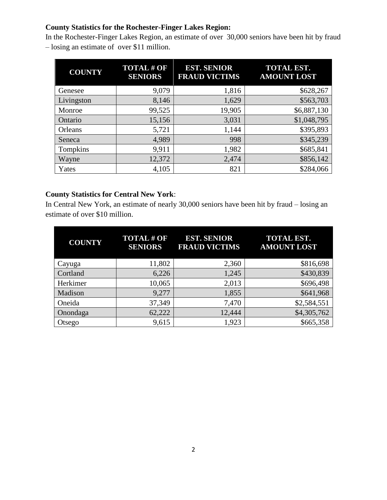## **County Statistics for the Rochester-Finger Lakes Region:**

In the Rochester-Finger Lakes Region, an estimate of over 30,000 seniors have been hit by fraud – losing an estimate of over \$11 million.

| <b>COUNTY</b> | <b>TOTAL # OF</b><br><b>SENIORS</b> | <b>EST. SENIOR</b><br><b>FRAUD VICTIMS</b> | <b>TOTAL EST.</b><br><b>AMOUNT LOST</b> |
|---------------|-------------------------------------|--------------------------------------------|-----------------------------------------|
| Genesee       | 9,079                               | 1,816                                      | \$628,267                               |
| Livingston    | 8,146                               | 1,629                                      | \$563,703                               |
| Monroe        | 99,525                              | 19,905                                     | \$6,887,130                             |
| Ontario       | 15,156                              | 3,031                                      | \$1,048,795                             |
| Orleans       | 5,721                               | 1,144                                      | \$395,893                               |
| Seneca        | 4,989                               | 998                                        | \$345,239                               |
| Tompkins      | 9,911                               | 1,982                                      | \$685,841                               |
| Wayne         | 12,372                              | 2,474                                      | \$856,142                               |
| Yates         | 4,105                               | 821                                        | \$284,066                               |

## **County Statistics for Central New York**:

In Central New York, an estimate of nearly 30,000 seniors have been hit by fraud – losing an estimate of over \$10 million.

| <b>COUNTY</b> | <b>TOTAL # OF</b><br><b>SENIORS</b> | <b>EST. SENIOR</b><br><b>FRAUD VICTIMS</b> | <b>TOTAL EST.</b><br><b>AMOUNT LOST</b> |
|---------------|-------------------------------------|--------------------------------------------|-----------------------------------------|
| Cayuga        | 11,802                              | 2,360                                      | \$816,698                               |
| Cortland      | 6,226                               | 1,245                                      | \$430,839                               |
| Herkimer      | 10,065                              | 2,013                                      | \$696,498                               |
| Madison       | 9,277                               | 1,855                                      | \$641,968                               |
| Oneida        | 37,349                              | 7,470                                      | \$2,584,551                             |
| Onondaga      | 62,222                              | 12,444                                     | \$4,305,762                             |
| Otsego        | 9,615                               | 1,923                                      | \$665,358                               |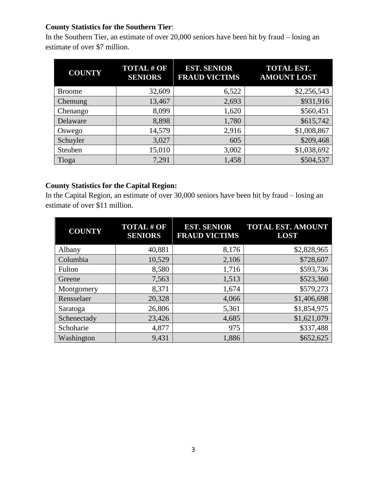# **County Statistics for the Southern Tier**:

In the Southern Tier, an estimate of over 20,000 seniors have been hit by fraud – losing an estimate of over \$7 million.

| <b>COUNTY</b> | <b>TOTAL#OF</b><br><b>SENIORS</b> | <b>EST. SENIOR</b><br><b>FRAUD VICTIMS</b> | <b>TOTAL EST.</b><br><b>AMOUNT LOST</b> |
|---------------|-----------------------------------|--------------------------------------------|-----------------------------------------|
| <b>Broome</b> | 32,609                            | 6,522                                      | \$2,256,543                             |
| Chemung       | 13,467                            | 2,693                                      | \$931,916                               |
| Chenango      | 8,099                             | 1,620                                      | \$560,451                               |
| Delaware      | 8,898                             | 1,780                                      | \$615,742                               |
| Oswego        | 14,579                            | 2,916                                      | \$1,008,867                             |
| Schuyler      | 3,027                             | 605                                        | \$209,468                               |
| Steuben       | 15,010                            | 3,002                                      | \$1,038,692                             |
| Tioga         | 7,291                             | 1,458                                      | \$504,537                               |

# **County Statistics for the Capital Region:**

In the Capital Region, an estimate of over 30,000 seniors have been hit by fraud – losing an estimate of over \$11 million.

| <b>COUNTY</b> | <b>TOTAL # OF</b><br><b>SENIORS</b> | <b>EST. SENIOR</b><br><b>FRAUD VICTIMS</b> | <b>TOTAL EST. AMOUNT</b><br><b>LOST</b> |
|---------------|-------------------------------------|--------------------------------------------|-----------------------------------------|
| Albany        | 40,881                              | 8,176                                      | \$2,828,965                             |
| Columbia      | 10,529                              | 2,106                                      | \$728,607                               |
| Fulton        | 8,580                               | 1,716                                      | \$593,736                               |
| Greene        | 7,563                               | 1,513                                      | \$523,360                               |
| Montgomery    | 8,371                               | 1,674                                      | \$579,273                               |
| Rensselaer    | 20,328                              | 4,066                                      | \$1,406,698                             |
| Saratoga      | 26,806                              | 5,361                                      | \$1,854,975                             |
| Schenectady   | 23,426                              | 4,685                                      | \$1,621,079                             |
| Schoharie     | 4,877                               | 975                                        | \$337,488                               |
| Washington    | 9,431                               | 1,886                                      | \$652,625                               |